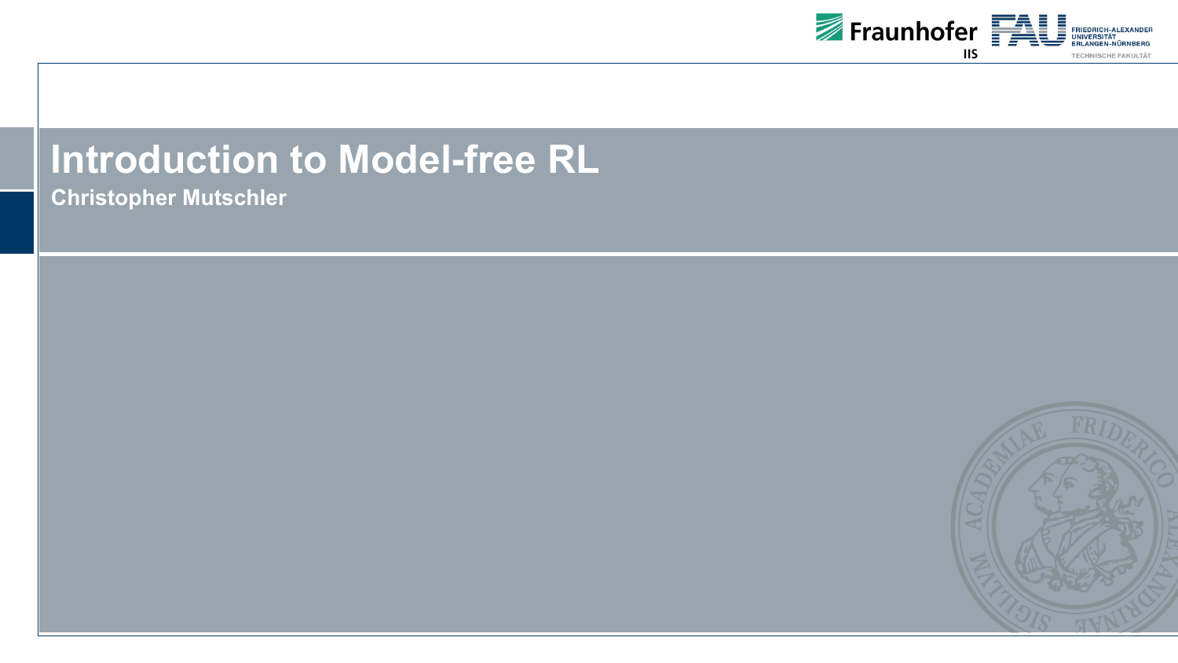

## **Introduction to Model-free RL**

**Christopher Mutschler**

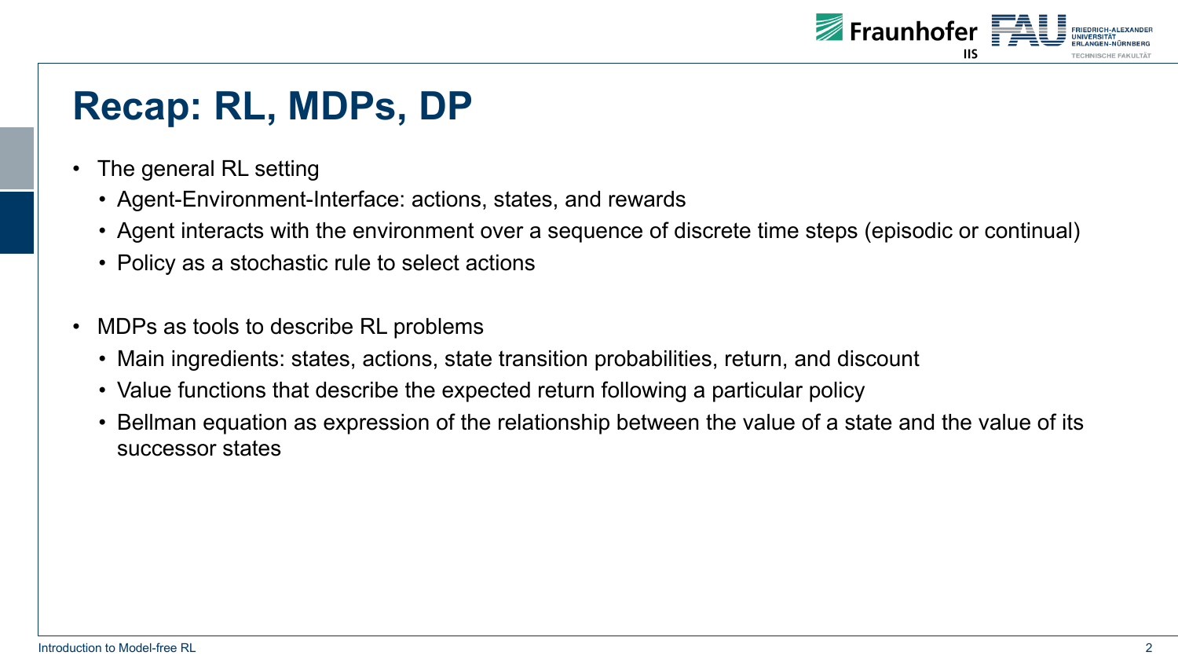

## **Recap: RL, MDPs, DP**

- The general RL setting
	- Agent-Environment-Interface: actions, states, and rewards
	- Agent interacts with the environment over a sequence of discrete time steps (episodic or continual)
	- Policy as a stochastic rule to select actions
- MDPs as tools to describe RL problems
	- Main ingredients: states, actions, state transition probabilities, return, and discount
	- Value functions that describe the expected return following a particular policy
	- Bellman equation as expression of the relationship between the value of a state and the value of its successor states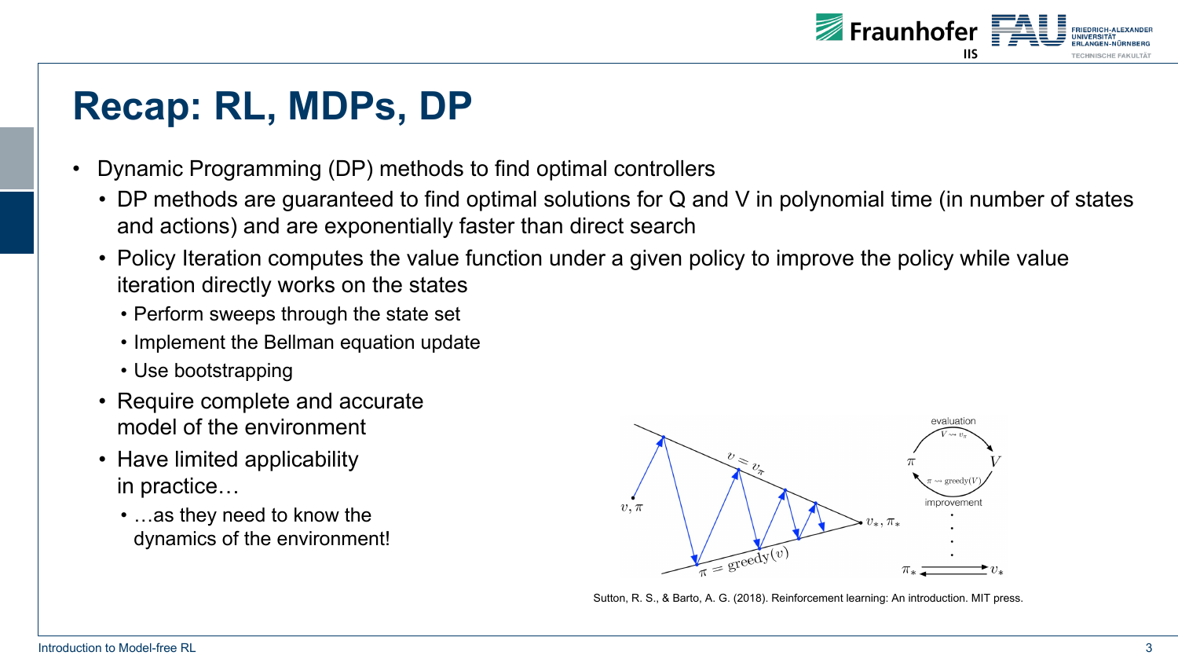

## **Recap: RL, MDPs, DP**

- Dynamic Programming (DP) methods to find optimal controllers
	- DP methods are guaranteed to find optimal solutions for Q and V in polynomial time (in number of states and actions) and are exponentially faster than direct search
	- Policy Iteration computes the value function under a given policy to improve the policy while value iteration directly works on the states
		- Perform sweeps through the state set
		- Implement the Bellman equation update
		- Use bootstrapping
	- Require complete and accurate model of the environment
	- Have limited applicability in practice…
		- …as they need to know the dynamics of the environment!



Sutton, R. S., & Barto, A. G. (2018). Reinforcement learning: An introduction. MIT press.